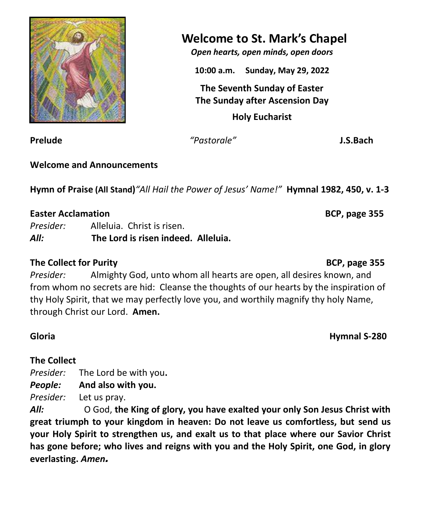

# **Welcome to St. Mark's Chapel**

*Open hearts, open minds, open doors*

**10:00 a.m. Sunday, May 29, 2022**

**The Seventh Sunday of Easter The Sunday after Ascension Day**

**Holy Eucharist**

**Prelude** *"Pastorale"* **J.S.Bach**

**Welcome and Announcements** 

**Hymn of Praise (All Stand)***"All Hail the Power of Jesus' Name!"* **Hymnal 1982, 450, v. 1-3**

### **Easter Acclamation BCP, page 355**

*Presider:* Alleluia. Christ is risen. *All:* **The Lord is risen indeed. Alleluia.** 

### The Collect for Purity **BCP**, page 355

*Presider:* Almighty God, unto whom all hearts are open, all desires known, and from whom no secrets are hid: Cleanse the thoughts of our hearts by the inspiration of thy Holy Spirit, that we may perfectly love you, and worthily magnify thy holy Name, through Christ our Lord. **Amen.**

**Gloria Hymnal S-280**

## **The Collect**

*Presider:* The Lord be with you**.** 

*People:* **And also with you.** 

*Presider:* Let us pray.

*All:* O God, **the King of glory, you have exalted your only Son Jesus Christ with great triumph to your kingdom in heaven: Do not leave us comfortless, but send us your Holy Spirit to strengthen us, and exalt us to that place where our Savior Christ has gone before; who lives and reigns with you and the Holy Spirit, one God, in glory everlasting.** *Amen.*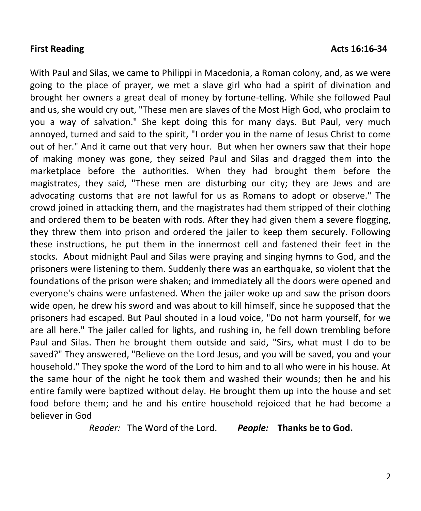With Paul and Silas, we came to Philippi in Macedonia, a Roman colony, and, as we were going to the place of prayer, we met a slave girl who had a spirit of divination and brought her owners a great deal of money by fortune-telling. While she followed Paul and us, she would cry out, "These men are slaves of the Most High God, who proclaim to you a way of salvation." She kept doing this for many days. But Paul, very much annoyed, turned and said to the spirit, "I order you in the name of Jesus Christ to come out of her." And it came out that very hour. But when her owners saw that their hope of making money was gone, they seized Paul and Silas and dragged them into the marketplace before the authorities. When they had brought them before the magistrates, they said, "These men are disturbing our city; they are Jews and are advocating customs that are not lawful for us as Romans to adopt or observe." The crowd joined in attacking them, and the magistrates had them stripped of their clothing and ordered them to be beaten with rods. After they had given them a severe flogging, they threw them into prison and ordered the jailer to keep them securely. Following these instructions, he put them in the innermost cell and fastened their feet in the stocks. About midnight Paul and Silas were praying and singing hymns to God, and the prisoners were listening to them. Suddenly there was an earthquake, so violent that the foundations of the prison were shaken; and immediately all the doors were opened and everyone's chains were unfastened. When the jailer woke up and saw the prison doors wide open, he drew his sword and was about to kill himself, since he supposed that the prisoners had escaped. But Paul shouted in a loud voice, "Do not harm yourself, for we are all here." The jailer called for lights, and rushing in, he fell down trembling before Paul and Silas. Then he brought them outside and said, "Sirs, what must I do to be saved?" They answered, "Believe on the Lord Jesus, and you will be saved, you and your household." They spoke the word of the Lord to him and to all who were in his house. At the same hour of the night he took them and washed their wounds; then he and his entire family were baptized without delay. He brought them up into the house and set food before them; and he and his entire household rejoiced that he had become a believer in God

*Reader:* The Word of the Lord. *People:* **Thanks be to God.**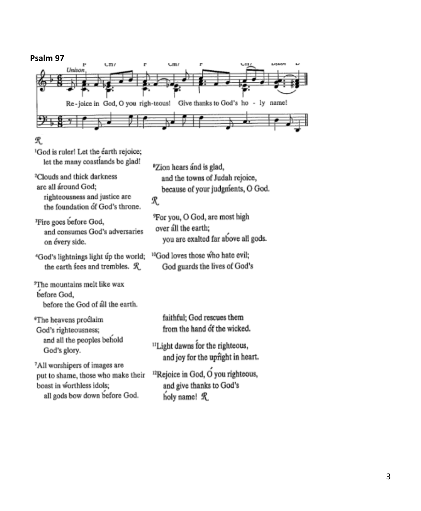

 $\mathcal{R}$ 

<sup>1</sup>God is ruler! Let the éarth rejoice; let the many coastlands be glad!

<sup>2</sup>Clouds and thick darkness are all áround God; righteousness and justice are the foundation of God's throne.

<sup>3</sup>Fire goes before God, and consumes God's adversaries on évery side.

<sup>4</sup>God's lightnings light up the world; the earth sees and trembles. R

<sup>5</sup>The mountains melt like wax before God. before the God of all the earth.

<sup>6</sup>The heavens proctaim God's righteousness; and all the peoples behold God's glory.

<sup>7</sup>All worshipers of images are put to shame, those who make their boast in worthless idols; all gods bow down before God.

<sup>8</sup>Zion hears and is glad, and the towns of Judah rejoice, because of your judgments, O God.

 $\mathcal{R}$ 

<sup>9</sup>For you, O God, are most high over all the earth: you are exalted far above all gods.

<sup>10</sup>God loves those who hate evil; God guards the lives of God's

> faithful: God rescues them from the hand of the wicked.

<sup>11</sup>Light dawns for the righteous, and joy for the upright in heart.

 ${}^{12}$ Rejoice in God, O you righteous, and give thanks to God's holy name!  $R$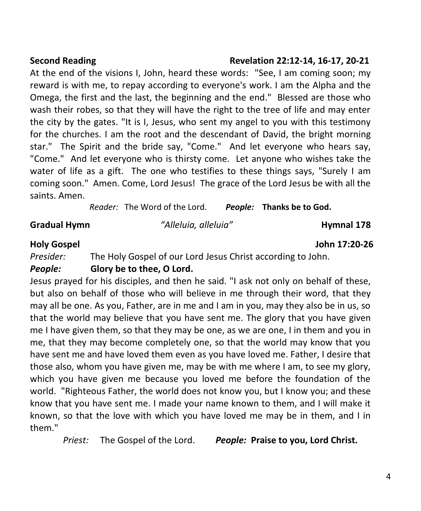At the end of the visions I, John, heard these words: "See, I am coming soon; my reward is with me, to repay according to everyone's work. I am the Alpha and the Omega, the first and the last, the beginning and the end." Blessed are those who wash their robes, so that they will have the right to the tree of life and may enter the city by the gates. "It is I, Jesus, who sent my angel to you with this testimony for the churches. I am the root and the descendant of David, the bright morning star." The Spirit and the bride say, "Come." And let everyone who hears say, "Come." And let everyone who is thirsty come. Let anyone who wishes take the water of life as a gift. The one who testifies to these things says, "Surely I am coming soon." Amen. Come, Lord Jesus! The grace of the Lord Jesus be with all the saints. Amen.

*Reader:* The Word of the Lord. *People:* **Thanks be to God.**

**Gradual Hymn** *"Alleluia, alleluia"* **Hymnal 178**

**Holy Gospel John 17:20-26**

*Presider:* The Holy Gospel of our Lord Jesus Christ according to John.

### *People:* **Glory be to thee, O Lord.**

Jesus prayed for his disciples, and then he said. "I ask not only on behalf of these, but also on behalf of those who will believe in me through their word, that they may all be one. As you, Father, are in me and I am in you, may they also be in us, so that the world may believe that you have sent me. The glory that you have given me I have given them, so that they may be one, as we are one, I in them and you in me, that they may become completely one, so that the world may know that you have sent me and have loved them even as you have loved me. Father, I desire that those also, whom you have given me, may be with me where I am, to see my glory, which you have given me because you loved me before the foundation of the world. "Righteous Father, the world does not know you, but I know you; and these know that you have sent me. I made your name known to them, and I will make it known, so that the love with which you have loved me may be in them, and I in them."

*Priest:* The Gospel of the Lord. *People:* **Praise to you, Lord Christ.**

### **Second Reading Revelation 22:12-14, 16-17, 20-21**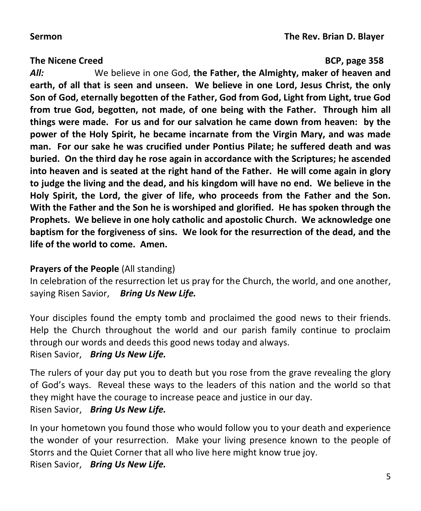### **Sermon The Rev. Brian D. Blayer**

### **The Nicene Creed BCP, page 358**

*All:*We believe in one God, **the Father, the Almighty, maker of heaven and earth, of all that is seen and unseen. We believe in one Lord, Jesus Christ, the only Son of God, eternally begotten of the Father, God from God, Light from Light, true God from true God, begotten, not made, of one being with the Father. Through him all things were made. For us and for our salvation he came down from heaven: by the power of the Holy Spirit, he became incarnate from the Virgin Mary, and was made man. For our sake he was crucified under Pontius Pilate; he suffered death and was buried. On the third day he rose again in accordance with the Scriptures; he ascended into heaven and is seated at the right hand of the Father. He will come again in glory to judge the living and the dead, and his kingdom will have no end. We believe in the Holy Spirit, the Lord, the giver of life, who proceeds from the Father and the Son. With the Father and the Son he is worshiped and glorified. He has spoken through the Prophets. We believe in one holy catholic and apostolic Church. We acknowledge one baptism for the forgiveness of sins. We look for the resurrection of the dead, and the life of the world to come. Amen.**

## **Prayers of the People** (All standing)

In celebration of the resurrection let us pray for the Church, the world, and one another, saying Risen Savior, *Bring Us New Life.*

Your disciples found the empty tomb and proclaimed the good news to their friends. Help the Church throughout the world and our parish family continue to proclaim through our words and deeds this good news today and always.

Risen Savior, *Bring Us New Life.*

The rulers of your day put you to death but you rose from the grave revealing the glory of God's ways. Reveal these ways to the leaders of this nation and the world so that they might have the courage to increase peace and justice in our day. Risen Savior, *Bring Us New Life.*

In your hometown you found those who would follow you to your death and experience the wonder of your resurrection. Make your living presence known to the people of Storrs and the Quiet Corner that all who live here might know true joy. Risen Savior, *Bring Us New Life.*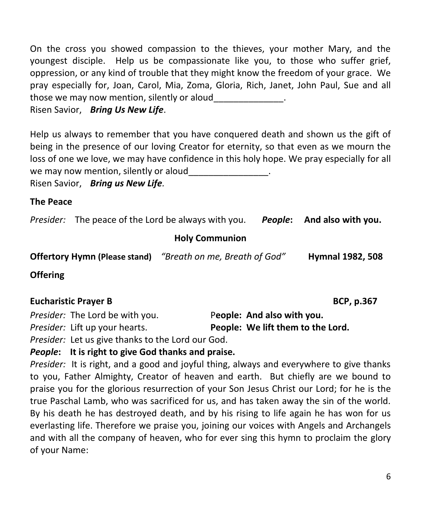On the cross you showed compassion to the thieves, your mother Mary, and the youngest disciple. Help us be compassionate like you, to those who suffer grief, oppression, or any kind of trouble that they might know the freedom of your grace. We pray especially for, Joan, Carol, Mia, Zoma, Gloria, Rich, Janet, John Paul, Sue and all those we may now mention, silently or aloud Risen Savior, *Bring Us New Life*.

Help us always to remember that you have conquered death and shown us the gift of being in the presence of our loving Creator for eternity, so that even as we mourn the loss of one we love, we may have confidence in this holy hope. We pray especially for all we may now mention, silently or aloud

Risen Savior, *Bring us New Life.*

## **The Peace**

*Presider:* The peace of the Lord be always with you. *People***: And also with you.** 

## **Holy Communion**

| <b>Offertory Hymn (Please stand)</b> | ., "Breath on me, Breath of God" | <b>Hymnal 1982, 508</b> |
|--------------------------------------|----------------------------------|-------------------------|
|--------------------------------------|----------------------------------|-------------------------|

**Offering**

### **Eucharistic Prayer B BCP, p.367**

*Presider:* The Lord be with you. **People: And also with you.** 

*Presider:* Lift up your hearts. **People: We lift them to the Lord.** 

*Presider:* Let us give thanks to the Lord our God.

## *People***: It is right to give God thanks and praise.**

*Presider:* It is right, and a good and joyful thing, always and everywhere to give thanks to you, Father Almighty, Creator of heaven and earth. But chiefly are we bound to praise you for the glorious resurrection of your Son Jesus Christ our Lord; for he is the true Paschal Lamb, who was sacrificed for us, and has taken away the sin of the world. By his death he has destroyed death, and by his rising to life again he has won for us everlasting life. Therefore we praise you, joining our voices with Angels and Archangels and with all the company of heaven, who for ever sing this hymn to proclaim the glory of your Name: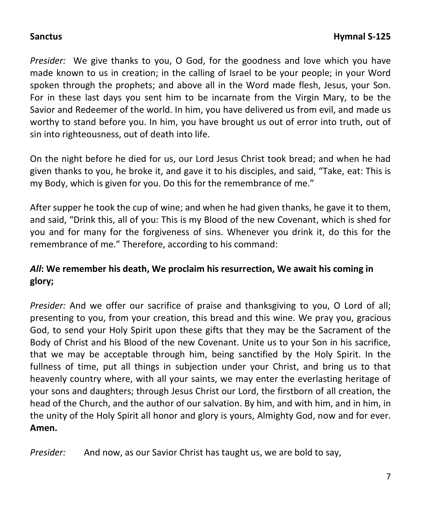*Presider:* We give thanks to you, O God, for the goodness and love which you have made known to us in creation; in the calling of Israel to be your people; in your Word spoken through the prophets; and above all in the Word made flesh, Jesus, your Son. For in these last days you sent him to be incarnate from the Virgin Mary, to be the Savior and Redeemer of the world. In him, you have delivered us from evil, and made us worthy to stand before you. In him, you have brought us out of error into truth, out of sin into righteousness, out of death into life.

On the night before he died for us, our Lord Jesus Christ took bread; and when he had given thanks to you, he broke it, and gave it to his disciples, and said, "Take, eat: This is my Body, which is given for you. Do this for the remembrance of me."

After supper he took the cup of wine; and when he had given thanks, he gave it to them, and said, "Drink this, all of you: This is my Blood of the new Covenant, which is shed for you and for many for the forgiveness of sins. Whenever you drink it, do this for the remembrance of me." Therefore, according to his command:

## *All***: We remember his death, We proclaim his resurrection, We await his coming in glory;**

*Presider:* And we offer our sacrifice of praise and thanksgiving to you, O Lord of all; presenting to you, from your creation, this bread and this wine. We pray you, gracious God, to send your Holy Spirit upon these gifts that they may be the Sacrament of the Body of Christ and his Blood of the new Covenant. Unite us to your Son in his sacrifice, that we may be acceptable through him, being sanctified by the Holy Spirit. In the fullness of time, put all things in subjection under your Christ, and bring us to that heavenly country where, with all your saints, we may enter the everlasting heritage of your sons and daughters; through Jesus Christ our Lord, the firstborn of all creation, the head of the Church, and the author of our salvation. By him, and with him, and in him, in the unity of the Holy Spirit all honor and glory is yours, Almighty God, now and for ever. **Amen.**

*Presider:* And now, as our Savior Christ has taught us, we are bold to say,